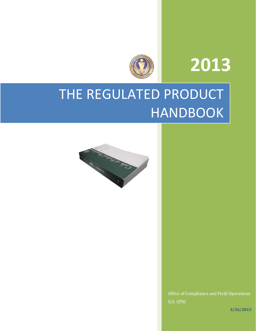# **2013**



# THE REGULATED PRODUCT HANDBOOK



Office of Compliance and Field Operations U.S. CPSC

**3/26/2013**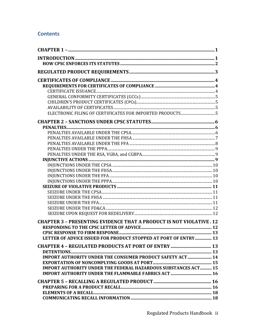# **Contents**

| <b>CHAPTER 3 - PRESENTING EVIDENCE THAT A PRODUCT IS NOT VIOLATIVE. 12</b> |  |
|----------------------------------------------------------------------------|--|
|                                                                            |  |
|                                                                            |  |
| LETTER OF ADVICE ISSUED FOR PRODUCT STOPPED AT PORT OF ENTRY 13            |  |
|                                                                            |  |
|                                                                            |  |
| <b>IMPORT AUTHORITY UNDER THE CONSUMER PRODUCT SAFETY ACT  14</b>          |  |
|                                                                            |  |
| <b>IMPORT AUTHORITY UNDER THE FEDERAL HAZARDOUS SUBSTANCES ACT 15</b>      |  |
|                                                                            |  |
|                                                                            |  |
|                                                                            |  |
|                                                                            |  |
|                                                                            |  |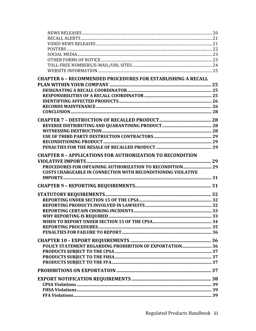| <b>CHAPTER 6 - RECOMMENDED PROCEDURES FOR ESTABLISHING A RECALL</b> |  |
|---------------------------------------------------------------------|--|
|                                                                     |  |
|                                                                     |  |
|                                                                     |  |
|                                                                     |  |
|                                                                     |  |
|                                                                     |  |
|                                                                     |  |
|                                                                     |  |
|                                                                     |  |
|                                                                     |  |
|                                                                     |  |
|                                                                     |  |
|                                                                     |  |
| <b>CHAPTER 8 - APPLICATIONS FOR AUTHORIZATION TO RECONDITION</b>    |  |
|                                                                     |  |
|                                                                     |  |
| <b>COSTS CHARGEABLE IN CONNECTION WITH RECONDITIONING VIOLATIVE</b> |  |
|                                                                     |  |
|                                                                     |  |
|                                                                     |  |
|                                                                     |  |
|                                                                     |  |
|                                                                     |  |
|                                                                     |  |
|                                                                     |  |
|                                                                     |  |
|                                                                     |  |
|                                                                     |  |
|                                                                     |  |
|                                                                     |  |
|                                                                     |  |
|                                                                     |  |
|                                                                     |  |
|                                                                     |  |
|                                                                     |  |
|                                                                     |  |
|                                                                     |  |
|                                                                     |  |
|                                                                     |  |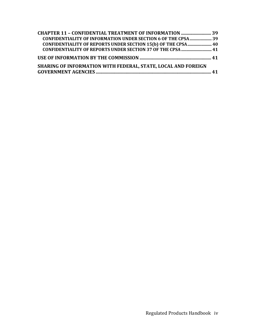| <b>CHAPTER 11 - CONFIDENTIAL TREATMENT OF INFORMATION  39</b>        |  |
|----------------------------------------------------------------------|--|
| <b>CONFIDENTIALITY OF INFORMATION UNDER SECTION 6 OF THE CPSA 39</b> |  |
| CONFIDENTIALITY OF REPORTS UNDER SECTION 15(b) OF THE CPSA 40        |  |
| <b>CONFIDENTIALITY OF REPORTS UNDER SECTION 37 OF THE CPSA  41</b>   |  |
|                                                                      |  |
| <b>SHARING OF INFORMATION WITH FEDERAL, STATE, LOCAL AND FOREIGN</b> |  |
|                                                                      |  |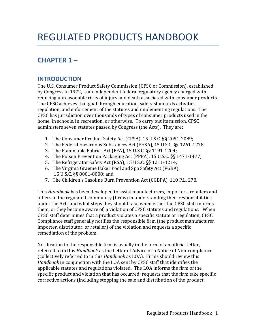# <span id="page-4-1"></span><span id="page-4-0"></span>**CHAPTER 1 –**

# **INTRODUCTION**

The U.S. Consumer Product Safety Commission (CPSC or Commission), established by Congress in 1972, is an independent federal regulatory agency charged with reducing unreasonable risks of injury and death associated with consumer products. The CPSC achieves that goal through education, safety standards activities, regulation, and enforcement of the statutes and implementing regulations. The CPSC has jurisdiction over thousands of types of consumer products used in the home, in schools, in recreation, or otherwise. To carry out its mission, CPSC administers seven statutes passed by Congress (the Acts). They are:

- 1. The Consumer Product Safety Act (CPSA), 15 U.S.C. §§ 2051-2089;
- 2. The Federal Hazardous Substances Act (FHSA), 15 U.S.C. §§ 1261-1278
- 3. The Flammable Fabrics Act (FFA), 15 U.S.C. §§ 1191-1204;
- 4. The Poison Prevention Packaging Act (PPPA), 15 U.S.C. §§ 1471-1477;
- 5. The Refrigerator Safety Act (RSA), 15 U.S.C. §§ 1211-1214;
- 6. The Virginia Graeme Baker Pool and Spa Safety Act (VGBA), 15 U.S.C. §§ 8001-8008; and
- 7. The Children's Gasoline Burn Prevention Act (CGBPA), 110 P.L. 278.

This *Handbook* has been developed to assist manufacturers, importers, retailers and others in the regulated community (firms) in understanding their responsibilities under the Acts and what steps they should take when either the CPSC staff informs them, or they become aware of, a violation of CPSC statutes and regulations. When CPSC staff determines that a product violates a specific statute or regulation, CPSC Compliance staff generally notifies the responsible firm (the product manufacturer, importer, distributor, or retailer) of the violation and requests a specific remediation of the problem.

Notification to the responsible firm is usually in the form of an official letter, referred to in this *Handbook* as the Letter of Advice or a Notice of Non-compliance (collectively referred to in this *Handbook* as LOA). Firms should review this *Handbook* in conjunction with the LOA sent by CPSC staff that identifies the applicable statutes and regulations violated. The LOA informs the firm of the specific product and violation that has occurred; requests that the firm take specific corrective actions (including stopping the sale and distribution of the product;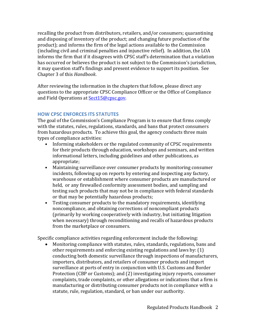recalling the product from distributors, retailers, and/or consumers; quarantining and disposing of inventory of the product; and changing future production of the product); and informs the firm of the legal actions available to the Commission (including civil and criminal penalties and injunctive relief). In addition, the LOA informs the firm that if it disagrees with CPSC staff's determination that a violation has occurred or believes the product is not subject to the Commission's jurisdiction, it may question staff's findings and present evidence to support its position. See Chapter 3 of this *Handbook*.

After reviewing the information in the chapters that follow, please direct any questions to the appropriate CPSC Compliance Officer or the Office of Compliance and Field Operations at Sect15@cpsc.gov.

## <span id="page-5-0"></span>**HOW CPSC ENFORCES ITS STATUTES**

The goal of the Commission's Compliance Program is to ensure that firms comply with the statutes, rules, regulations, standards, and bans that protect consumers from hazardous products. To achieve this goal, the agency conducts three main types of compliance activities:

- Informing stakeholders or the regulated community of CPSC requirements for their products through education, workshops and seminars, and written informational letters, including guidelines and other publications, as appropriate;
- Maintaining surveillance over consumer products by monitoring consumer incidents, following up on reports by entering and inspecting any factory, warehouse or establishment where consumer products are manufactured or held, or any firewalled conformity assessment bodies, and sampling and testing such products that may not be in compliance with federal standards or that may be potentially hazardous products;
- Testing consumer products to the mandatory requirements, identifying noncompliance, and obtaining corrections of noncompliant products (primarily by working cooperatively with industry, but initiating litigation when necessary) through reconditioning and recalls of hazardous products from the marketplace or consumers.

Specific compliance activities regarding enforcement include the following:

• Monitoring compliance with statutes, rules, standards, regulations, bans and other requirements and enforcing existing regulations and laws by: (1) conducting both domestic surveillance through inspections of manufacturers, importers, distributors, and retailers of consumer products and import surveillance at ports of entry in conjunction with U.S. Customs and Border Protection (CBP or Customs); and (2) investigating injury reports, consumer complaints, trade complaints, or other allegations or indications that a firm is manufacturing or distributing consumer products not in compliance with a statute, rule, regulation, standard, or ban under our authority.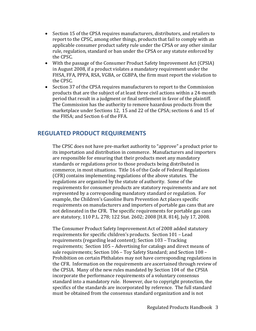- Section 15 of the CPSA requires manufacturers, distributors, and retailers to report to the CPSC, among other things, products that fail to comply with an applicable consumer product safety rule under the CPSA or any other similar rule, regulation, standard or ban under the CPSA or any statute enforced by the CPSC.
- With the passage of the Consumer Product Safety Improvement Act (CPSIA) in August 2008, if a product violates a mandatory requirement under the FHSA, FFA, PPPA, RSA, VGBA, or CGBPA, the firm must report the violation to the CPSC.
- Section 37 of the CPSA requires manufacturers to report to the Commission products that are the subject of at least three civil actions within a 24-month period that result in a judgment or final settlement in favor of the plaintiff. The Commission has the authority to remove hazardous products from the marketplace under Sections 12, 15 and 22 of the CPSA; sections 6 and 15 of the FHSA; and Section 6 of the FFA.

# <span id="page-6-0"></span>**REGULATED PRODUCT REQUIREMENTS**

The CPSC does not have pre-market authority to "approve" a product prior to its importation and distribution in commerce. Manufacturers and importers are responsible for ensuring that their products meet any mandatory standards or regulations prior to those products being distributed in commerce, in most situations. Title 16 of the Code of Federal Regulations (CFR) contains implementing regulations of the above statutes. The regulations are organized by the statute of authority. Some of the requirements for consumer products are statutory requirements and are not represented by a corresponding mandatory standard or regulation. For example, the Children's Gasoline Burn Prevention Act places specific requirements on manufacturers and importers of portable gas cans that are not delineated in the CFR. The specific requirements for portable gas cans are statutory, 110 P.L. 278; 122 Stat. 2602; 2008 [H.R. 814], July 17, 2008.

The Consumer Product Safety Improvement Act of 2008 added statutory requirements for specific children's products. Section 101 – Lead requirements (regarding lead content); Section 103 – Tracking requirements; Section 105 – Advertising for catalogs and direct means of sale requirements; Section 106 – Toy Safety Standard; and Section 108 – Prohibition on certain Phthalates may not have corresponding regulations in the CFR. Information on the requirements are ascertained through review of the CPSIA. Many of the new rules mandated by Section 104 of the CPSIA incorporate the performance requirements of a voluntary consensus standard into a mandatory rule. However, due to copyright protection, the specifics of the standards are incorporated by reference. The full standard must be obtained from the consensus standard organization and is not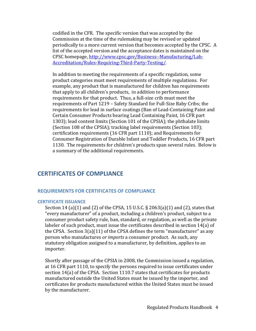codified in the CFR. The specific version that was accepted by the Commission at the time of the rulemaking may be revised or updated periodically to a more current version that becomes accepted by the CPSC. A list of the accepted version and the acceptance dates is maintained on the CPSC homepage, [http://www.cpsc.gov/Business--Manufacturing/Lab-](http://www.cpsc.gov/Business--Manufacturing/Lab-Accreditation/Rules-Requiring-Third-Party-Testing/)[Accreditation/Rules-Requiring-Third-Party-Testing/.](http://www.cpsc.gov/Business--Manufacturing/Lab-Accreditation/Rules-Requiring-Third-Party-Testing/)

In addition to meeting the requirements of a specific regulation, some product categories must meet requirements of multiple regulations. For example, any product that is manufactured for children has requirements that apply to all children's products, in addition to performance requirements for that product. Thus, a full-size crib must meet the requirements of Part 1219 – Safety Standard for Full-Size Baby Cribs; the requirements for lead in surface coatings (Ban of Lead-Containing Paint and Certain Consumer Products bearing Lead Containing Paint, 16 CFR part 1303); lead content limits (Section 101 of the CPSIA); the phthalate limits (Section 108 of the CPSIA); tracking label requirements (Section 103); certification requirements (16 CFR part 1110); and Requirements for Consumer Registration of Durable Infant and Toddler Products, 16 CFR part 1130. The requirements for children's products span several rules. Below is a summary of the additional requirements.

# <span id="page-7-0"></span>**CERTIFICATES OF COMPLIANCE**

#### <span id="page-7-1"></span>**REQUIREMENTS FOR CERTIFICATES OF COMPLIANCE**

#### <span id="page-7-2"></span>**CERTIFICATE ISSUANCE**

Section 14 (a)(1) and (2) of the CPSA, 15 U.S.C. § 2063(a)(1) and (2), states that "every manufacturer" of a product, including a children's product, subject to a consumer product safety rule, ban, standard, or regulation, as well as the private labeler of such product, must issue the certificates described in section 14(a) of the CPSA. Section 3(a)(11) of the CPSA defines the term "manufacturer" as any person who manufactures *or imports* a consumer product. As such, any statutory obligation assigned to a manufacturer, by definition, applies to an importer.

Shortly after passage of the CPSIA in 2008, the Commission issued a regulation, at 16 CFR part 1110, to specify the persons required to issue certificates under section 14(a) of the CPSA. Section 1110.7 states that certificates for products manufactured outside the United States must be issued by the importer, and certificates for products manufactured within the United States must be issued by the manufacturer.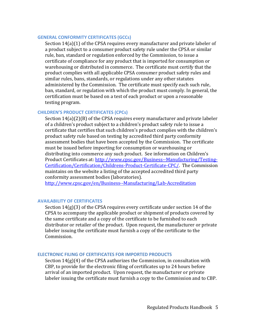#### <span id="page-8-0"></span>**GENERAL CONFORMITY CERTIFICATES (GCCs)**

Section 14(a)(1) of the CPSA requires every manufacturer and private labeler of a product subject to a consumer product safety rule under the CPSA or similar rule, ban, standard or regulation enforced by the Commission, to issue a certificate of compliance for any product that is imported for consumption or warehousing or distributed in commerce. The certificate must certify that the product complies with all applicable CPSA consumer product safety rules and similar rules, bans, standards, or regulations under any other statutes administered by the Commission. The certificate must specify each such rule, ban, standard, or regulation with which the product must comply. In general, the certification must be based on a test of each product or upon a reasonable testing program.

#### <span id="page-8-1"></span>**CHILDREN'S PRODUCT CERTIFICATES (CPCs)**

Section 14(a)(2)(B) of the CPSA requires every manufacturer and private labeler of a children's product subject to a children's product safety rule to issue a certificate that certifies that such children's product complies with the children's product safety rule based on testing by accredited third party conformity assessment bodies that have been accepted by the Commission. The certificate must be issued before importing for consumption or warehousing or distributing into commerce any such product. See information on Children's Product Certificates at: [http://www.cpsc.gov/Business--Manufacturing/Testing-](http://www.cpsc.gov/Business--Manufacturing/Testing-Certification/Certification/Childrens-Product-Certificate-CPC/)[Certification/Certification/Childrens-Product-Certificate-CPC/.](http://www.cpsc.gov/Business--Manufacturing/Testing-Certification/Certification/Childrens-Product-Certificate-CPC/) The Commission maintains on the website a listing of the accepted accredited third party conformity assessment bodies (laboratories).

<http://www.cpsc.gov/en/Business--Manufacturing/Lab-Accreditation>

#### <span id="page-8-2"></span>**AVAILABILITY OF CERTIFICATES**

Section 14(g)(3) of the CPSA requires every certificate under section 14 of the CPSA to accompany the applicable product or shipment of products covered by the same certificate and a copy of the certificate to be furnished to each distributor or retailer of the product. Upon request, the manufacturer or private labeler issuing the certificate must furnish a copy of the certificate to the Commission.

#### <span id="page-8-3"></span>**ELECTRONIC FILING OF CERTIFICATES FOR IMPORTED PRODUCTS**

Section  $14(g)(4)$  of the CPSA authorizes the Commission, in consultation with CBP, to provide for the electronic filing of certificates up to 24 hours before arrival of an imported product. Upon request, the manufacturer or private labeler issuing the certificate must furnish a copy to the Commission and to CBP.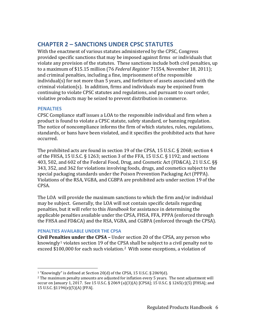# <span id="page-9-0"></span>**CHAPTER 2 – SANCTIONS UNDER CPSC STATUTES**

With the enactment of various statutes administered by the CPSC, Congress provided specific sanctions that may be imposed against firms or individuals that violate any provision of the statutes. These sanctions include both civil penalties, up to a maximum of \$15.15 million (76 *Federal Register* 71554, November 18, 2011); and criminal penalties, including a fine, imprisonment of the responsible individual(s) for not more than 5 years, and forfeiture of assets associated with the criminal violation(s). In addition, firms and individuals may be enjoined from continuing to violate CPSC statutes and regulations, and pursuant to court order, violative products may be seized to prevent distribution in commerce.

#### <span id="page-9-1"></span>**PENALTIES**

CPSC Compliance staff issues a LOA to the responsible individual and firm when a product is found to violate a CPSC statute, safety standard, or banning regulation. The notice of noncompliance informs the firm of which statutes, rules, regulations, standards, or bans have been violated, and it specifies the prohibited acts that have occurred.

The prohibited acts are found in section 19 of the CPSA, 15 U.S.C. § 2068; section 4 of the FHSA, 15 U.S.C. § 1263; section 3 of the FFA, 15 U.S.C. § 1192; and sections 403, 502, and 602 of the Federal Food, Drug, and Cosmetic Act (FD&CA), 21 U.S.C. §§ 343, 352, and 362 for violations involving foods, drugs, and cosmetics subject to the special packaging standards under the Poison Prevention Packaging Act (PPPA). Violations of the RSA, VGBA, and CGBPA are prohibited acts under section 19 of the CPSA.

The LOA will provide the maximum sanctions to which the firm and/or individual may be subject. Generally, the LOA will not contain specific details regarding penalties, but it will refer to this *Handbook* for assistance in determining the applicable penalties available under the CPSA, FHSA, FFA, PPPA (enforced through the FHSA and FD&CA) and the RSA, VGBA, and CGBPA (enforced through the CPSA).

## <span id="page-9-2"></span>**PENALTIES AVAILABLE UNDER THE CPSA**

<span id="page-9-5"></span>**Civil Penalties under the CPSA –** Under section 20 of the CPSA, any person who knowingly<sup>[1](#page-9-3)</sup> violates section 19 of the CPSA shall be subject to a civil penalty not to exceed \$100,000 for each such violation.[2](#page-9-4) With some exceptions, a violation of

<span id="page-9-3"></span><sup>&</sup>lt;sup>1</sup> "Knowingly" is defined at Section 20(d) of the CPSA, 15 U.S.C. § 2069(d).

<span id="page-9-4"></span> $2$  The maximum penalty amounts are adjusted for inflation every 5 years. The next adjustment will occur on January 1, 2017. See 15 U.S.C. § 2069 (a)(3)(A) [CPSA]; 15 U.S.C. § 1265(c)(5) [FHSA]; and 15 U.S.C. §1194(e)(5)(A) [FFA].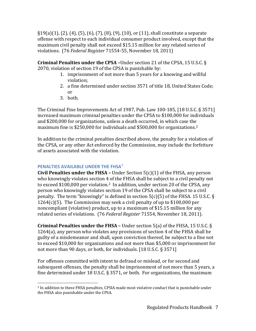$\S19(a)(1)$ , (2), (4), (5), (6), (7), (8), (9), (10), or (11), shall constitute a separate offense with respect to each individual consumer product involved, except that the maximum civil penalty shall not exceed \$15.15 million for any related series of violations. (76 *Federal Register* 71554-55, November 18, 2011)

**Criminal Penalties under the CPSA –**Under section 21 of the CPSA, 15 U.S.C. § 2070, violation of section 19 of the CPSA is punishable by:

- 1. imprisonment of not more than 5 years for a knowing and willful violation;
- 2. a fine determined under section 3571 of title 18, United States Code; or
- 3. both.

The Criminal Fine Improvements Act of 1987, Pub. Law 100-185, [18 U.S.C. § 3571] increased maximum criminal penalties under the CPSA to \$100,000 for individuals and \$200,000 for organizations, unless a death occurred, in which case the maximum fine is \$250,000 for individuals and \$500,000 for organizations[.2](#page-9-5)

In addition to the criminal penalties described above, the penalty for a violation of the CPSA, or any other Act enforced by the Commission, may include the forfeiture of assets associated with the violation.

## <span id="page-10-0"></span>**PENALTIES AVAILABLE UNDER THE FHSA**[3](#page-10-1)

**Civil Penalties under the FHSA –** Under Section 5(c)(1) of the FHSA, any person who knowingly violates section 4 of the FHSA shall be subject to a civil penalty not to exceed \$100,000 per violation.<sup>2</sup> In addition, under section 20 of the CPSA, any person who knowingly violates section 19 of the CPSA shall be subject to a civil penalty. The term "knowingly" is defined in section 5(c)(5) of the FHSA. 15 U.S.C. § 1264(c)(5). The Commission may seek a civil penalty of up to  $$100,000$  per noncompliant (violative) product, up to a maximum of \$15.15 million for any related series of violations. (76 *Federal Register* 71554, November 18, 2011).

**Criminal Penalties under the FHSA –** Under section 5(a) of the FHSA, 15 U.S.C. § 1264(a), any person who violates any provisions of section 4 of the FHSA shall be guilty of a misdemeanor and shall, upon conviction thereof, be subject to a fine not to exceed \$10,000 for organizations and not more than \$5,000 or imprisonment for not more than 90 days, or both, for individuals. [18 U.S.C. § 3571]

For offenses committed with intent to defraud or mislead, or for second and subsequent offenses, the penalty shall be imprisonment of not more than 5 years, a fine determined under 18 U.S.C. § 3571, or both. For organizations, the maximum

<span id="page-10-1"></span> <sup>3</sup> In addition to these FHSA penalties, CPSIA made most violative conduct that is punishable under the FHSA also punishable under the CPSA.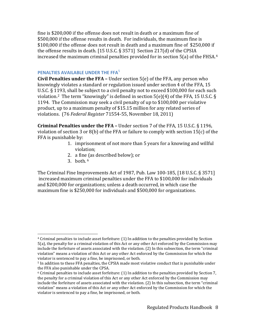fine is \$200,000 if the offense does not result in death or a maximum fine of \$500,000 if the offense results in death. For individuals, the maximum fine is \$100,000 if the offense does not result in death and a maximum fine of \$250,000 if the offense results in death. [15 U.S.C. § 3571] Section 217(d) of the CPSIA increased the maximum criminal penalties provided for in section 5(a) of the FHSA. [4](#page-11-1)

#### <span id="page-11-0"></span>**PENALTIES AVAILABLE UNDER THE FFA**[5](#page-11-2)

**Civil Penalties under the FFA –** Under section 5(e) of the FFA, any person who knowingly violates a standard or regulation issued under section 4 of the FFA, 15 U.S.C. § 1193, shall be subject to a civil penalty not to exceed \$100,000 for each such violation.<sup>2</sup> The term "knowingly" is defined in section  $5(e)(4)$  of the FFA, 15 U.S.C. § 1194. The Commission may seek a civil penalty of up to \$100,000 per violative product, up to a maximum penalty of \$15.15 million for any related series of violations. (76 *Federal Register* 71554-55, November 18, 2011)

**Criminal Penalties under the FFA –** Under section 7 of the FFA, 15 U.S.C. § 1196, violation of section 3 or 8(b) of the FFA or failure to comply with section 15(c) of the FFA is punishable by:

- 1. imprisonment of not more than 5 years for a knowing and willful violation;
- 2. a fin[e \(](#page-11-3)as described below); or
- 3. both. <sup>6</sup>

The Criminal Fine Improvements Act of 1987, Pub. Law 100-185, [18 U.S.C. § 3571] increased maximum criminal penalties under the FFA to \$100,000 for individuals and \$200,000 for organizations; unless a death occurred, in which case the maximum fine is \$250,000 for individuals and \$500,000 for organizations.

<span id="page-11-1"></span> <sup>4</sup> Criminal penalties to include asset forfeiture: (1) In addition to the penalties provided by Section 5(a), the penalty for a criminal violation of this Act or any other Act enforced by the Commission may include the forfeiture of assets associated with the violation. (2) In this subsection, the term "criminal violation" means a violation of this Act or any other Act enforced by the Commission for which the violator is sentenced to pay a fine, be imprisoned, or both.

<span id="page-11-2"></span><sup>5</sup> In addition to these FFA penalties, the CPSIA made most violative conduct that is punishable under the FFA also punishable under the CPSA.

<span id="page-11-3"></span> $6$  Criminal penalties to include asset forfeiture:  $(1)$  In addition to the penalties provided by Section 7, the penalty for a criminal violation of this Act or any other Act enforced by the Commission may include the forfeiture of assets associated with the violation. (2) In this subsection, the term "criminal violation" means a violation of this Act or any other Act enforced by the Commission for which the violator is sentenced to pay a fine, be imprisoned, or both.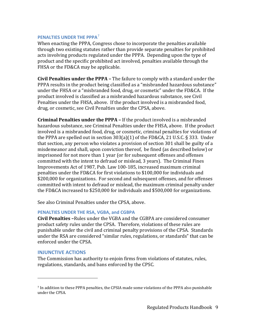#### <span id="page-12-0"></span>**PENALTIES UNDER THE PPPA**[7](#page-12-3)

When enacting the PPPA, Congress chose to incorporate the penalties available through two existing statutes rather than provide separate penalties for prohibited acts involving products regulated under the PPPA. Depending upon the type of product and the specific prohibited act involved, penalties available through the FHSA or the FD&CA may be applicable.

**Civil Penalties under the PPPA –** The failure to comply with a standard under the PPPA results in the product being classified as a "misbranded hazardous substance" under the FHSA or a "misbranded food, drug, or cosmetic" under the FD&CA. If the product involved is classified as a misbranded hazardous substance, see Civil Penalties under the FHSA, above. If the product involved is a misbranded food, drug, or cosmetic, see Civil Penalties under the CPSA, above.

**Criminal Penalties under the PPPA –** If the product involved is a misbranded hazardous substance, see Criminal Penalties under the FHSA, above. If the product involved is a misbranded food, drug, or cosmetic, criminal penalties for violations of the PPPA are spelled out in section 303(a)(1) of the FD&CA, 21 U.S.C. § 333. Under that section, any person who violates a provision of section 301 shall be guilty of a misdemeanor and shall, upon conviction thereof, be fined (as described below) or imprisoned for not more than 1 year (or for subsequent offenses and offenses committed with the intent to defraud or mislead, 3 years). The Criminal Fines Improvements Act of 1987, Pub. Law 100-185, increased maximum criminal penalties under the FD&CA for first violations to \$100,000 for individuals and \$200,000 for organizations. For second and subsequent offenses, and for offenses committed with intent to defraud or mislead, the maximum criminal penalty under the FD&CA increased to \$250,000 for individuals and \$500,000 for organizations.

See also Criminal Penalties under the CPSA, above.

#### <span id="page-12-1"></span>**PENALTIES UNDER THE RSA, VGBA, and CGBPA**

**Civil Penalties –**Rules under the VGBA and the CGBPA are considered consumer product safety rules under the CPSA. Therefore, violations of these rules are punishable under the civil and criminal penalty provisions of the CPSA. Standards under the RSA are considered "similar rules, regulations, or standards" that can be enforced under the CPSA.

#### <span id="page-12-2"></span>**INJUNCTIVE ACTIONS**

i<br>I

The Commission has authority to enjoin firms from violations of statutes, rules, regulations, standards, and bans enforced by the CPSC.

<span id="page-12-3"></span><sup>7</sup> In addition to these PPPA penalties, the CPSIA made some violations of the PPPA also punishable under the CPSA.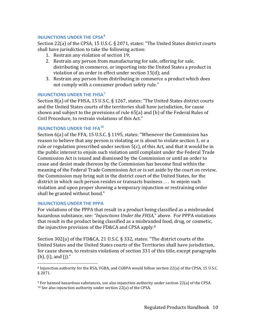#### <span id="page-13-0"></span>**INJUNCTIONS UNDER THE CPSA[8](#page-13-5)**

Section 22(a) of the CPSA, 15 U.S.C. § 2071, states: "The United States district courts shall have jurisdiction to take the following action:

- <span id="page-13-4"></span>1. Restrain any violation of section 19;
- 2. Restrain any person from manufacturing for sale, offering for sale, distributing in commerce, or importing into the United States a product in violation of an order in effect under section 15(d); and
- 3. Restrain any person from distributing in commerce a product which does not comply with a consumer product safety rule."

#### <span id="page-13-1"></span>**INJUNCTIONS UNDER THE FHSA<sup>[9](#page-13-6)</sup>**

Section 8(a) of the FHSA, 15 U.S.C. § 1267, states: "The United States district courts and the United States courts of the territories shall have jurisdiction, for cause shown and subject to the provisions of rule 65(a) and (b) of the Federal Rules of Civil Procedure, to restrain violations of this Act."

#### <span id="page-13-2"></span>**INJUNCTIONS UNDER THE FFA[10](#page-13-7)**

Section 6(a) of the FFA, 15 U.S.C. § 1195, states: "Whenever the Commission has reason to believe that any person is violating or is about to violate section 3, or a rule or regulation prescribed under section 5(c), of this Act, and that it would be in the public interest to enjoin such violation until complaint under the Federal Trade Commission Act is issued and dismissed by the Commission or until an order to cease and desist made thereon by the Commission has become final within the meaning of the Federal Trade Commission Act or is set aside by the court on review, the Commission may bring suit in the district court of the United States, for the district in which such person resides or transacts business . . . to enjoin such violation and upon proper showing a temporary injunction or restraining order shall be granted without bond."

#### <span id="page-13-3"></span>**INJUNCTIONS UNDER THE PPPA**

For violations of the PPPA that result in a product being classified as a misbranded hazardous substance, see: *"Injunctions Under the FHSA,*" above. For PPPA violations that result in the product being classified as a misbranded food, drug, or cosmetic, the injunctive provision of the FD&CA and CPSA apply[.8](#page-13-4)

Section 302(a) of the FD&CA, 21 U.S.C. § 332, states: "The district courts of the United States and the United States courts of the Territories shall have jurisdiction, for cause shown, to restrain violations of section 331 of this title, except paragraphs (h), (i), and (j)."

<span id="page-13-5"></span> <sup>8</sup> Injunction authority for the RSA, VGBA, and CGBPA would follow section 22(a) of the CPSA, 15 U.S.C. § 2071.

<span id="page-13-7"></span><span id="page-13-6"></span> $9$  For banned hazardous substances, see also injunction authority under section 22(a) of the CPSA. <sup>10</sup> See also injunction authority under section 22(a) of the CPSA.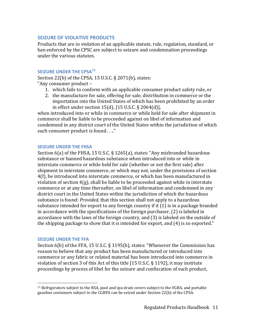#### <span id="page-14-0"></span>**SEIZURE OF VIOLATIVE PRODUCTS**

Products that are in violation of an applicable statute, rule, regulation, standard, or ban enforced by the CPSC are subject to seizure and condemnation proceedings under the various statutes.

#### <span id="page-14-1"></span>**SEIZURE UNDER THE CPSA[11](#page-14-4)**

Section 22(b) of the CPSA, 15 U.S.C. § 2071(b), states: "Any consumer product –

- 1. which fails to conform with an applicable consumer product safety rule, or
- 2. the manufacture for sale, offering for sale, distribution in commerce or the importation into the United States of which has been prohibited by an order in effect under section 15(d), [15 U.S.C. § 2064(d)],

when introduced into or while in commerce or while held for sale after shipment in commerce shall be liable to be proceeded against on libel of information and condemned in any district court of the United States within the jurisdiction of which such consumer product is found . . .."

#### <span id="page-14-2"></span>**SEIZURE UNDER THE FHSA**

Section 6(a) of the FHSA, 15 U.S.C. § 1265(a), states: "Any misbranded hazardous substance or banned hazardous substance when introduced into or while in interstate commerce or while held for sale (whether or not the first sale) after shipment in interstate commerce, or which may not, under the provisions of section 4(f), be introduced into interstate commerce, or which has been manufactured in violation of section 4(g), shall be liable to be proceeded against while in interstate commerce or at any time thereafter, on libel of information and condemned in any district court in the United States within the jurisdiction of which the hazardous substance is found: *Provided*, that this section shall not apply to a hazardous substance intended for export to any foreign country if it (1) is in a package branded in accordance with the specifications of the foreign purchaser, (2) is labeled in accordance with the laws of the foreign country, and (3) is labeled on the outside of the shipping package to show that it is intended for export, and (4) is so exported."

#### <span id="page-14-3"></span>**SEIZURE UNDER THE FFA**

Section 6(b) of the FFA, 15 U.S.C. § 1195(b), states: "Whenever the Commission has reason to believe that any product has been manufactured or introduced into commerce or any fabric or related material has been introduced into commerce in violation of section 3 of this Act of this title [15 U.S.C. § 1192], it may institute proceedings by process of libel for the seizure and confiscation of such product,

<span id="page-14-4"></span> <sup>11</sup> Refrigerators subject to the RSA, pool and spa drain covers subject to the VGBA, and portable gasoline containers subject to the CGBPA can be seized under Section 22(b) of the CPSA.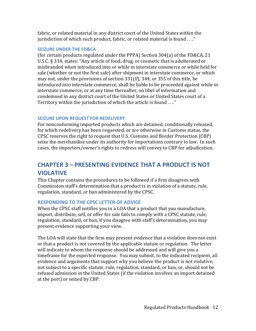fabric, or related material in any district court of the United States within the jurisdiction of which such product, fabric, or related material is found . . .."

#### <span id="page-15-0"></span>**SEIZURE UNDER THE FD&CA**

(for certain products regulated under the PPPA) Section 304(a) of the FD&CA, 21 U.S.C. § 334, states: "Any article of food, drug, or cosmetic that is adulterated or misbranded when introduced into or while in interstate commerce or while held for sale (whether or not the first sale) after shipment in interstate commerce, or which may not, under the provisions of section 331(*ll*), 344, or 355 of this title, be introduced into interstate commerce, shall be liable to be proceeded against while in interstate commerce, or at any time thereafter, on libel of information and condemned in any district court of the United States or United States court of a Territory within the jurisdiction of which the article is found . . .."

## <span id="page-15-1"></span>**SEIZURE UPON REQUEST FOR REDELIVERY**

For nonconforming imported products which are detained, conditionally released, for which redelivery has been requested, or are otherwise in Customs status, the CPSC reserves the right to request that U.S. Customs and Border Protection (CBP) seize the merchandise under its authority for importations contrary to law. In such cases, the importers/owner's rights to redress will convey to CBP for adjudication.

# <span id="page-15-2"></span>**CHAPTER 3 – PRESENTING EVIDENCE THAT A PRODUCT IS NOT VIOLATIVE**

This Chapter contains the procedures to be followed if a firm disagrees with Commission staff's determination that a product is in violation of a statute, rule, regulation, standard, or ban administered by the CPSC.

## <span id="page-15-3"></span>**RESPONDING TO THE CPSC LETTER OF ADVICE**

When the CPSC staff notifies you in a LOA that a product that you manufacture, import, distribute, sell, or offer for sale fails to comply with a CPSC statute, rule, regulation, standard, or ban, if you disagree with staff's determination, you may present evidence supporting your view.

The LOA will state that the firm may present evidence that a violation does not exist or that a product is not covered by the applicable statute or regulation. The letter will indicate to whom the response should be addressed and will give you a timeframe for the expected response. You may submit, to the indicated recipient, all evidence and arguments that support why you believe the product is not violative; not subject to a specific statute, rule, regulation, standard, or ban; or, should not be refused admission in the United States (if the violation involves an import detained at the port) or seized by CBP.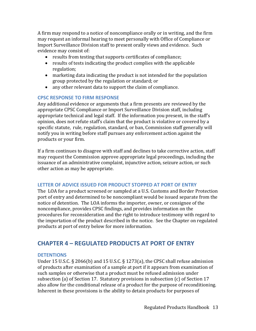A firm may respond to a notice of noncompliance orally or in writing, and the firm may request an informal hearing to meet personally with Office of Compliance or Import Surveillance Division staff to present orally views and evidence. Such evidence may consist of:

- results from testing that supports certificates of compliance;
- results of tests indicating the product complies with the applicable regulation;
- marketing data indicating the product is not intended for the population group protected by the regulation or standard; or
- any other relevant data to support the claim of compliance.

## <span id="page-16-0"></span>**CPSC RESPONSE TO FIRM RESPONSE**

Any additional evidence or arguments that a firm presents are reviewed by the appropriate CPSC Compliance or Import Surveillance Division staff, including appropriate technical and legal staff. If the information you present, in the staff's opinion, does not refute staff's claim that the product is violative or covered by a specific statute, rule, regulation, standard, or ban, Commission staff generally will notify you in writing before staff pursues any enforcement action against the products or your firm.

If a firm continues to disagree with staff and declines to take corrective action, staff may request the Commission approve appropriate legal proceedings, including the issuance of an administrative complaint, injunctive action, seizure action, or such other action as may be appropriate.

## <span id="page-16-1"></span>**LETTER OF ADVICE ISSUED FOR PRODUCT STOPPED AT PORT OF ENTRY**

The LOA for a product screened or sampled at a U.S. Customs and Border Protection port of entry and determined to be noncompliant would be issued separate from the notice of detention. The LOA informs the importer, owner, or consignee of the noncompliance, provides CPSC findings, and provides information on the procedures for reconsideration and the right to introduce testimony with regard to the importation of the product described in the notice. See the Chapter on regulated products at port of entry below for more information.

# <span id="page-16-2"></span>**CHAPTER 4 – REGULATED PRODUCTS AT PORT OF ENTRY**

## <span id="page-16-3"></span>**DETENTIONS**

Under 15 U.S.C. § 2066(b) and 15 U.S.C. § 1273(a), the CPSC shall refuse admission of products after examination of a sample at port if it appears from examination of such samples or otherwise that a product must be refused admission under subsection (a) of Section 17. Statutory provisions in subsection (c) of Section 17 also allow for the conditional release of a product for the purpose of reconditioning. Inherent in these provisions is the ability to detain products for purposes of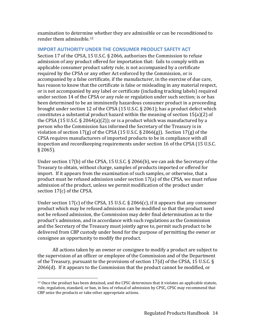examination to determine whether they are admissible or can be reconditioned to render them admissible.[12](#page-17-1)

#### <span id="page-17-0"></span>**IMPORT AUTHORITY UNDER THE CONSUMER PRODUCT SAFETY ACT**

Section 17 of the CPSA, 15 U.S.C. § 2066, authorizes the Commission to refuse admission of any product offered for importation that: fails to comply with an applicable consumer product safety rule, is not accompanied by a certificate required by the CPSA or any other Act enforced by the Commission, or is accompanied by a false certificate, if the manufacturer, in the exercise of due care, has reason to know that the certificate is false or misleading in any material respect, or is not accompanied by any label or certificate (including tracking labels) required under section 14 of the CPSA or any rule or regulation under such section; is or has been determined to be an imminently hazardous consumer product in a proceeding brought under section 12 of the CPSA (15 U.S.C. § 2061); has a product defect which constitutes a substantial product hazard within the meaning of section 15(a)(2) of the CPSA (15 U.S.C. § 2064(a)(2)); or is a product which was manufactured by a person who the Commission has informed the Secretary of the Treasury is in violation of section  $17(g)$  of the CPSA (15 U.S.C. § 2066(g)). Section  $17(g)$  of the CPSA requires manufacturers of imported products to be in compliance with all inspection and recordkeeping requirements under section 16 of the CPSA (15 U.S.C. § 2065).

Under section 17(b) of the CPSA, 15 U.S.C. § 2066(b), we can ask the Secretary of the Treasury to obtain, without charge, samples of products imported or offered for import. If it appears from the examination of such samples, or otherwise, that a product must be refused admission under section 17(a) of the CPSA, we must refuse admission of the product, unless we permit modification of the product under section 17(c) of the CPSA.

Under section 17(c) of the CPSA, 15 U.S.C. § 2066(c), if it appears that any consumer product which may be refused admission can be modified so that the product need not be refused admission, the Commission may defer final determination as to the product's admission, and in accordance with such regulations as the Commission and the Secretary of the Treasury must jointly agree to, permit such product to be delivered from CBP custody under bond for the purpose of permitting the owner or consignee an opportunity to modify the product.

All actions taken by an owner or consignee to modify a product are subject to the supervision of an officer or employee of the Commission and of the Department of the Treasury, pursuant to the provisions of section 17(d) of the CPSA, 15 U.S.C. § 2066(d). If it appears to the Commission that the product cannot be modified, or

<span id="page-17-1"></span><sup>&</sup>lt;sup>12</sup> Once the product has been detained, and the CPSC determines that it violates an applicable statute, rule, regulation, standard, or ban, in lieu of refusal of admission by CPSC, CPSC may recommend that CBP seize the products or take other appropriate actions.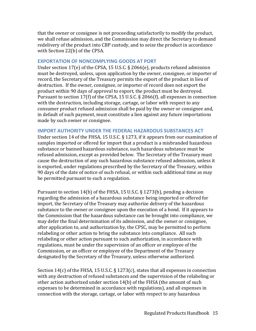that the owner or consignee is not proceeding satisfactorily to modify the product, we shall refuse admission, and the Commission may direct the Secretary to demand redelivery of the product into CBP custody, and to seize the product in accordance with Section 22(b) of the CPSA.

#### <span id="page-18-0"></span>**EXPORTATION OF NONCOMPLYING GOODS AT PORT**

Under section 17(e) of the CPSA, 15 U.S.C. § 2066(e), products refused admission must be destroyed, unless, upon application by the owner, consignee, or importer of record, the Secretary of the Treasury permits the export of the product in lieu of destruction. If the owner, consignee, or importer of record does not export the product within 90 days of approval to export, the product must be destroyed. Pursuant to section 17(f) of the CPSA, 15 U.S.C. § 2066(f), all expenses in connection with the destruction, including storage, cartage, or labor with respect to any consumer product refused admission shall be paid by the owner or consignee and, in default of such payment, must constitute a lien against any future importations made by such owner or consignee.

#### <span id="page-18-1"></span>**IMPORT AUTHORITY UNDER THE FEDERAL HAZARDOUS SUBSTANCES ACT**

Under section 14 of the FHSA, 15 U.S.C. § 1273, if it appears from our examination of samples imported or offered for import that a product is a misbranded hazardous substance or banned hazardous substance, such hazardous substance must be refused admission, except as provided below. The Secretary of the Treasury must cause the destruction of any such hazardous substance refused admission, unless it is exported, under regulations prescribed by the Secretary of the Treasury, within 90 days of the date of notice of such refusal, or within such additional time as may be permitted pursuant to such a regulation.

Pursuant to section 14(b) of the FHSA, 15 U.S.C. § 1273(b), pending a decision regarding the admission of a hazardous substance being imported or offered for import, the Secretary of the Treasury may authorize delivery of the hazardous substance to the owner or consignee upon the execution of a bond. If it appears to the Commission that the hazardous substance can be brought into compliance, we may defer the final determination of its admission, and the owner or consignee, after application to, and authorization by, the CPSC, may be permitted to perform relabeling or other action to bring the substance into compliance. All such relabeling or other action pursuant to such authorization, in accordance with regulations, must be under the supervision of an officer or employee of the Commission, or an officer or employee of the Department of the Treasury designated by the Secretary of the Treasury, unless otherwise authorized.

Section 14(c) of the FHSA, 15 U.S.C.  $\S$  1273(c), states that all expenses in connection with any destruction of refused substances and the supervision of the relabeling or other action authorized under section 14(b) of the FHSA (the amount of such expenses to be determined in accordance with regulations), and all expenses in connection with the storage, cartage, or labor with respect to any hazardous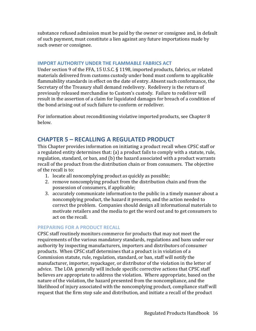substance refused admission must be paid by the owner or consignee and, in default of such payment, must constitute a lien against any future importations made by such owner or consignee.

#### <span id="page-19-0"></span>**IMPORT AUTHORITY UNDER THE FLAMMABLE FABRICS ACT**

Under section 9 of the FFA, 15 U.S.C. § 1198, imported products, fabrics, or related materials delivered from customs custody under bond must conform to applicable flammability standards in effect on the date of entry. Absent such conformance, the Secretary of the Treasury shall demand redelivery. Redelivery is the return of previously released merchandise to Custom's custody. Failure to redeliver will result in the assertion of a claim for liquidated damages for breach of a condition of the bond arising out of such failure to conform or redeliver.

For information about reconditioning violative imported products, see Chapter 8 below.

# <span id="page-19-1"></span>**CHAPTER 5 – RECALLING A REGULATED PRODUCT**

This Chapter provides information on initiating a product recall when CPSC staff or a regulated entity determines that: (a) a product fails to comply with a statute, rule, regulation, standard, or ban, and (b) the hazard associated with a product warrants recall of the product from the distribution chain or from consumers. The objective of the recall is to:

- 1. locate all noncomplying product as quickly as possible;
- 2. remove noncomplying product from the distribution chain and from the possession of consumers, if applicable;
- 3. accurately communicate information to the public in a timely manner about a noncomplying product, the hazard it presents, and the action needed to correct the problem. Companies should design all informational materials to motivate retailers and the media to get the word out and to get consumers to act on the recall.

#### <span id="page-19-2"></span>**PREPARING FOR A PRODUCT RECALL**

CPSC staff routinely monitors commerce for products that may not meet the requirements of the various mandatory standards, regulations and bans under our authority by inspecting manufacturers, importers and distributors of consumer products. When CPSC staff determines that a product is in violation of a Commission statute, rule, regulation, standard, or ban, staff will notify the manufacturer, importer, repackager, or distributor of the violation in the letter of advice. The LOA generally will include specific corrective actions that CPSC staff believes are appropriate to address the violation. Where appropriate, based on the nature of the violation, the hazard presented from the noncompliance, and the likelihood of injury associated with the noncomplying product, compliance staff will request that the firm stop sale and distribution, and initiate a recall of the product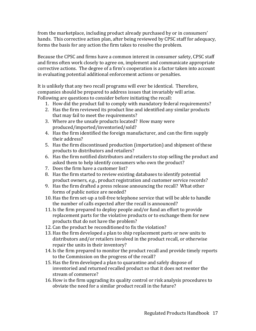from the marketplace, including product already purchased by or in consumers' hands. This corrective action plan, after being reviewed by CPSC staff for adequacy, forms the basis for any action the firm takes to resolve the problem.

Because the CPSC and firms have a common interest in consumer safety, CPSC staff and firms often work closely to agree on, implement and communicate appropriate corrective actions. The degree of a firm's cooperation is a factor taken into account in evaluating potential additional enforcement actions or penalties.

It is unlikely that any two recall programs will ever be identical. Therefore, companies should be prepared to address issues that invariably will arise. Following are questions to consider before initiating the recall:

- 1. How did the product fail to comply with mandatory federal requirements?
- 2. Has the firm reviewed its product line and identified any similar products that may fail to meet the requirements?
- 3. Where are the unsafe products located? How many were produced/imported/inventoried/sold?
- 4. Has the firm identified the foreign manufacturer, and can the firm supply their address?
- 5. Has the firm discontinued production (importation) and shipment of these products to distributors and retailers?
- 6. Has the firm notified distributors and retailers to stop selling the product and asked them to help identify consumers who own the product?
- 7. Does the firm have a customer list?
- 8. Has the firm started to review existing databases to identify potential product owners, *e.g*., product registration and customer service records?
- 9. Has the firm drafted a press release announcing the recall? What other forms of public notice are needed?
- 10. Has the firm set-up a toll-free telephone service that will be able to handle the number of calls expected after the recall is announced?
- 11. Is the firm prepared to deploy people and/or fund an effort to provide replacement parts for the violative products or to exchange them for new products that do not have the problem?
- 12. Can the product be reconditioned to fix the violation?
- 13. Has the firm developed a plan to ship replacement parts or new units to distributors and/or retailers involved in the product recall, or otherwise repair the units in their inventory?
- 14. Is the firm prepared to monitor the product recall and provide timely reports to the Commission on the progress of the recall?
- 15. Has the firm developed a plan to quarantine and safely dispose of inventoried and returned recalled product so that it does not reenter the stream of commerce?
- 16. How is the firm upgrading its quality control or risk analysis procedures to obviate the need for a similar product recall in the future?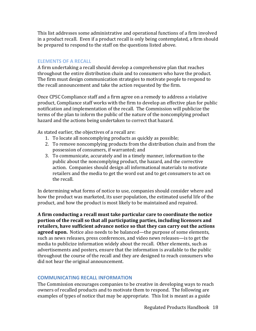This list addresses some administrative and operational functions of a firm involved in a product recall. Even if a product recall is only being contemplated, a firm should be prepared to respond to the staff on the questions listed above.

#### <span id="page-21-0"></span>**ELEMENTS OF A RECALL**

A firm undertaking a recall should develop a comprehensive plan that reaches throughout the entire distribution chain and to consumers who have the product. The firm must design communication strategies to motivate people to respond to the recall announcement and take the action requested by the firm.

Once CPSC Compliance staff and a firm agree on a remedy to address a violative product, Compliance staff works with the firm to develop an effective plan for public notification and implementation of the recall. The Commission will publicize the terms of the plan to inform the public of the nature of the noncomplying product hazard and the actions being undertaken to correct that hazard.

As stated earlier, the objectives of a recall are:

- 1. To locate all noncomplying products as quickly as possible;
- 2. To remove noncomplying products from the distribution chain and from the possession of consumers, if warranted; and
- 3. To communicate, accurately and in a timely manner, information to the public about the noncomplying product, the hazard, and the corrective action. Companies should design all informational materials to motivate retailers and the media to get the word out and to get consumers to act on the recall.

In determining what forms of notice to use, companies should consider where and how the product was marketed, its user population, the estimated useful life of the product, and how the product is most likely to be maintained and repaired.

**A firm conducting a recall must take particular care to coordinate the notice portion of the recall so that all participating parties, including licensors and retailers, have sufficient advance notice so that they can carry out the actions agreed upon.** Notice also needs to be balanced—the purpose of some elements, such as news releases, press conferences, and video news releases—is to get the media to publicize information widely about the recall. Other elements, such as advertisements and posters, ensure that the information is available to the public throughout the course of the recall and they are designed to reach consumers who did not hear the original announcement.

## <span id="page-21-1"></span>**COMMUNICATING RECALL INFORMATION**

The Commission encourages companies to be creative in developing ways to reach owners of recalled products and to motivate them to respond. The following are examples of types of notice that may be appropriate. This list is meant as a guide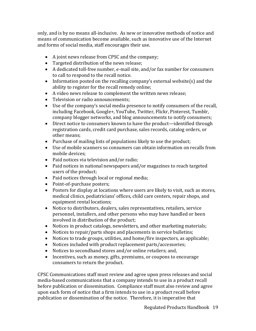only, and is by no means all-inclusive. As new or innovative methods of notice and means of communication become available, such as innovative use of the Internet and forms of social media, staff encourages their use.

- A joint news release from CPSC and the company;
- Targeted distribution of the news release;
- A dedicated toll-free number, e-mail site, and/or fax number for consumers to call to respond to the recall notice.
- Information posted on the recalling company's external website(s) and the ability to register for the recall remedy online;
- A video news release to complement the written news release;
- Television or radio announcements;
- Use of the company's social media presence to notify consumers of the recall, including Facebook, Google+, YouTube, Twitter, Flickr, Pinterest, Tumblr, company blogger networks, and blog announcements to notify consumers;
- Direct notice to consumers known to have the product—identified through registration cards, credit card purchase, sales records, catalog orders, or other means;
- Purchase of mailing lists of populations likely to use the product;
- Use of mobile scanners so consumers can obtain information on recalls from mobile devices;
- Paid notices via television and/or radio;
- Paid notices in national newspapers and/or magazines to reach targeted users of the product;
- Paid notices through local or regional media;
- Point-of-purchase posters;
- Posters for display at locations where users are likely to visit, such as stores, medical clinics, pediatricians' offices, child care centers, repair shops, and equipment rental locations;
- Notice to distributors, dealers, sales representatives, retailers, service personnel, installers, and other persons who may have handled or been involved in distribution of the product;
- Notices in product catalogs, newsletters, and other marketing materials;
- Notices to repair/parts shops and placements in service bulletins;
- Notices to trade groups, utilities, and home/fire inspectors, as applicable;
- Notices included with product replacement parts/accessories;
- Notices to secondhand stores and/or online retailers; and,
- Incentives, such as money, gifts, premiums, or coupons to encourage consumers to return the product.

CPSC Communications staff must review and agree upon press releases and social media-based communications that a company intends to use in a product recall before publication or dissemination. Compliance staff must also review and agree upon each form of notice that a firm intends to use in a product recall before publication or dissemination of the notice. Therefore, it is imperative that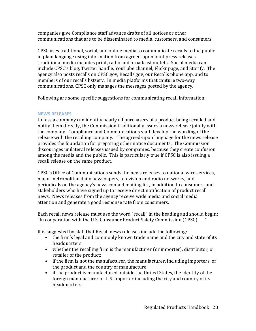companies give Compliance staff advance drafts of all notices or other communications that are to be disseminated to media, customers, and consumers.

CPSC uses traditional, social, and online media to communicate recalls to the public in plain language using information from agreed-upon joint press releases. Traditional media includes print, radio and broadcast outlets. Social media can include CPSC's blog, Twitter handle, YouTube channel, Flickr page, and Storify. The agency also posts recalls on CPSC.gov, Recalls.gov, our Recalls phone app, and to members of our recalls listserv. In media platforms that capture two-way communications, CPSC only manages the messages posted by the agency.

Following are some specific suggestions for communicating recall information:

## <span id="page-23-0"></span>**NEWS RELEASES**

Unless a company can identify nearly all purchasers of a product being recalled and notify them directly, the Commission traditionally issues a news release jointly with the company. Compliance and Communications staff develop the wording of the release with the recalling company. The agreed-upon language for the news release provides the foundation for preparing other notice documents. The Commission discourages unilateral releases issued by companies, because they create confusion among the media and the public. This is particularly true if CPSC is also issuing a recall release on the same product.

CPSC's Office of Communications sends the news releases to national wire services, major metropolitan daily newspapers, television and radio networks, and periodicals on the agency's news contact mailing list, in addition to consumers and stakeholders who have signed up to receive direct notification of product recall news. News releases from the agency receive wide media and social media attention and generate a good response rate from consumers.

Each recall news release must use the word "recall" in the heading and should begin: "In cooperation with the U.S. Consumer Product Safety Commission (CPSC) . . .."

It is suggested by staff that Recall news releases include the following:

- the firm's legal and commonly known trade name and the city and state of its headquarters;
- whether the recalling firm is the manufacturer (or importer), distributor, or retailer of the product;
- if the firm is not the manufacturer, the manufacturer, including importers, of the product and the country of manufacture;
- if the product is manufactured outside the United States, the identity of the foreign manufacturer or U.S. importer including the city and country of its headquarters;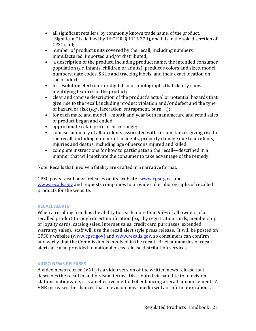- all significant retailers, by commonly known trade name, of the product. "Significant" is defined by 16 C.F.R. § 1115.27(i), and it is in the sole discretion of CPSC staff;
- number of product units covered by the recall, including numbers manufactured, imported and/or distributed;
- a description of the product, including product name, the intended consumer population (*i.e*. infants, children or adults), product's colors and sizes, model numbers, date codes, SKUs and tracking labels, and their exact location on the product;
- hi-resolution electronic or digital color photographs that clearly show identifying features of the product;
- clear and concise description of the product's actual or potential hazards that give rise to the recall, including product violation and/or defect and the type of hazard or risk (*e.g.*, laceration, entrapment, burn. . .);
- for each make and model—month and year both manufacture and retail sales of product began and ended;
- approximate retail price or price range;
- concise summary of all incidents associated with circumstances giving rise to the recall, including number of incidents, property damage due to incidents, injuries and deaths, including age of persons injured and killed;
- complete instructions for how to participate in the recall—described in a manner that will motivate the consumer to take advantage of the remedy.

Note: Recalls that involve a fatality are drafted in a narrative format.

CPSC posts recall news releases on its website [\(www.cpsc.gov\)](http://www.cpsc.gov/) and [www.recalls.gov](http://www.recalls.gov/) and requests companies to provide color photographs of recalled products for the website.

## <span id="page-24-0"></span>**RECALL ALERTS**

When a recalling firm has the ability to reach more than 95% of all owners of a recalled product through direct notification (*e.g*., by registration cards, membership or loyalty cards, catalog sales, Internet sales, credit card purchases, extended warranty sales), staff will use the recall alert style press release. It will be posted on CPSC's website [\(www.cpsc.gov\)](http://www.cpsc.gov/) and [www.recalls.gov,](http://www.recalls.gov/) so consumers can confirm and verify that the Commission is involved in the recall. Brief summaries of recall alerts are also provided to national press release distribution services.

#### <span id="page-24-1"></span>**VIDEO NEWS RELEASES**

A video news release (VNR) is a video version of the written news release that describes the recall in audio-visual terms. Distributed via satellite to television stations nationwide, it is an effective method of enhancing a recall announcement. A VNR increases the chances that television news media will air information about a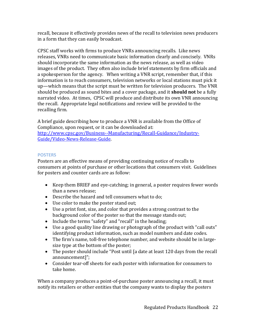recall, because it effectively provides news of the recall to television news producers in a form that they can easily broadcast.

CPSC staff works with firms to produce VNRs announcing recalls. Like news releases, VNRs need to communicate basic information clearly and concisely. VNRs should incorporate the same information as the news release, as well as video images of the product. They often also include brief statements by firm officials and a spokesperson for the agency. When writing a VNR script, remember that, if this information is to reach consumers, television networks or local stations must pick it up—which means that the script must be written for television producers. The VNR should be produced as sound bites and a cover package, and it **should not** be a fully narrated video. At times, CPSC will produce and distribute its own VNR announcing the recall. Appropriate legal notifications and review will be provided to the recalling firm.

A brief guide describing how to produce a VNR is available from the Office of Compliance, upon request, or it can be downloaded at: [http://www.cpsc.gov/Business--Manufacturing/Recall-Guidance/Industry-](http://www.cpsc.gov/Business--Manufacturing/Recall-Guidance/Industry-Guide/Video-News-Release-Guide)[Guide/Video-News-Release-Guide.](http://www.cpsc.gov/Business--Manufacturing/Recall-Guidance/Industry-Guide/Video-News-Release-Guide)

#### <span id="page-25-0"></span>**POSTERS**

Posters are an effective means of providing continuing notice of recalls to consumers at points of purchase or other locations that consumers visit. Guidelines for posters and counter cards are as follow:

- Keep them BRIEF and eye-catching; in general, a poster requires fewer words than a news release;
- Describe the hazard and tell consumers what to do;
- Use color to make the poster stand out;
- Use a print font, size, and color that provides a strong contrast to the background color of the poster so that the message stands out;
- Include the terms "safety" and "recall" in the heading;
- Use a good quality line drawing or photograph of the product with "call outs" identifying product information, such as model numbers and date codes.
- The firm's name, toll-free telephone number, and website should be in largesize type at the bottom of the poster;
- The poster should include "Post until [a date at least 120 days from the recall announcement]";
- Consider tear-off sheets for each poster with information for consumers to take home.

When a company produces a point-of-purchase poster announcing a recall, it must notify its retailers or other entities that the company wants to display the posters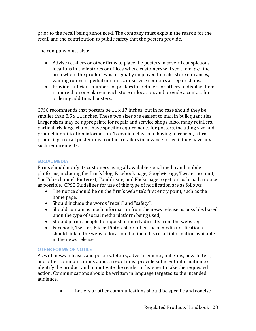prior to the recall being announced. The company must explain the reason for the recall and the contribution to public safety that the posters provide.

The company must also:

- Advise retailers or other firms to place the posters in several conspicuous locations in their stores or offices where customers will see them, *e.g*., the area where the product was originally displayed for sale, store entrances, waiting rooms in pediatric clinics, or service counters at repair shops.
- Provide sufficient numbers of posters for retailers or others to display them in more than one place in each store or location, and provide a contact for ordering additional posters.

CPSC recommends that posters be 11 x 17 inches, but in no case should they be smaller than 8.5 x 11 inches. These two sizes are easiest to mail in bulk quantities. Larger sizes may be appropriate for repair and service shops. Also, many retailers, particularly large chains, have specific requirements for posters, including size and product identification information. To avoid delays and having to reprint, a firm producing a recall poster must contact retailers in advance to see if they have any such requirements.

## <span id="page-26-0"></span>**SOCIAL MEDIA**

Firms should notify its customers using all available social media and mobile platforms, including the firm's blog, Facebook page, Google+ page, Twitter account, YouTube channel, Pinterest, Tumblr site, and Flickr page to get out as broad a notice as possible. CPSC Guidelines for use of this type of notification are as follows:

- The notice should be on the firm's website's first entry point, such as the home page;
- Should include the words "recall" and "safety";
- Should contain as much information from the news release as possible, based upon the type of social media platform being used;
- Should permit people to request a remedy directly from the website;
- Facebook, Twitter, Flickr, Pinterest, or other social media notifications should link to the website location that includes recall information available in the news release.

## <span id="page-26-1"></span>**OTHER FORMS OF NOTICE**

As with news releases and posters, letters, advertisements, bulletins, newsletters, and other communications about a recall must provide sufficient information to identify the product and to motivate the reader or listener to take the requested action. Communications should be written in language targeted to the intended audience.

• Letters or other communications should be specific and concise.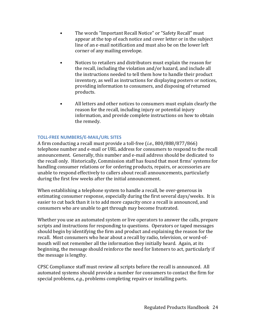- The words "Important Recall Notice" or "Safety Recall" must appear at the top of each notice and cover letter or in the subject line of an e-mail notification and must also be on the lower left corner of any mailing envelope.
- Notices to retailers and distributors must explain the reason for the recall, including the violation and/or hazard, and include all the instructions needed to tell them how to handle their product inventory, as well as instructions for displaying posters or notices, providing information to consumers, and disposing of returned products.
- All letters and other notices to consumers must explain clearly the reason for the recall, including injury or potential injury information, and provide complete instructions on how to obtain the remedy.

#### <span id="page-27-0"></span>**TOLL-FREE NUMBERS/E-MAIL/URL SITES**

A firm conducting a recall must provide a toll-free (*i.e*., 800/888/877/866) telephone number and e-mail or URL address for consumers to respond to the recall announcement. Generally, this number and e-mail address should be dedicated to the recall only. Historically, Commission staff has found that most firms' systems for handling consumer relations or for ordering products, repairs, or accessories are unable to respond effectively to callers about recall announcements, particularly during the first few weeks after the initial announcement.

When establishing a telephone system to handle a recall, be over-generous in estimating consumer response, especially during the first several days/weeks. It is easier to cut back than it is to add more capacity once a recall is announced, and consumers who are unable to get through may become frustrated.

Whether you use an automated system or live operators to answer the calls, prepare scripts and instructions for responding to questions. Operators or taped messages should begin by identifying the firm and product and explaining the reason for the recall. Most consumers who hear about a recall by radio, television, or word-ofmouth will not remember all the information they initially heard. Again, at its beginning, the message should reinforce the need for listeners to act, particularly if the message is lengthy.

CPSC Compliance staff must review all scripts before the recall is announced. All automated systems should provide a number for consumers to contact the firm for special problems, *e.g*., problems completing repairs or installing parts.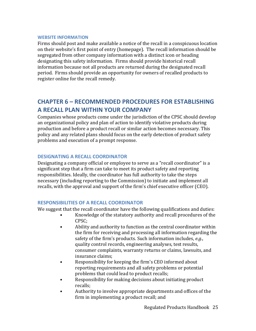#### <span id="page-28-0"></span>**WEBSITE INFORMATION**

Firms should post and make available a notice of the recall in a conspicuous location on their website's first point of entry (homepage). The recall information should be segregated from other company information with a distinct icon or heading designating this safety information. Firms should provide historical recall information because not all products are returned during the designated recall period. Firms should provide an opportunity for owners of recalled products to register online for the recall remedy.

# <span id="page-28-1"></span>**CHAPTER 6 – RECOMMENDED PROCEDURES FOR ESTABLISHING A RECALL PLAN WITHIN YOUR COMPANY**

Companies whose products come under the jurisdiction of the CPSC should develop an organizational policy and plan of action to identify violative products during production and before a product recall or similar action becomes necessary. This policy and any related plans should focus on the early detection of product safety problems and execution of a prompt response.

## <span id="page-28-2"></span>**DESIGNATING A RECALL COORDINATOR**

Designating a company official or employee to serve as a "recall coordinator" is a significant step that a firm can take to meet its product safety and reporting responsibilities. Ideally, the coordinator has full authority to take the steps necessary (including reporting to the Commission) to initiate and implement all recalls, with the approval and support of the firm's chief executive officer (CEO).

## <span id="page-28-3"></span>**RESPONSIBILITIES OF A RECALL COORDINATOR**

We suggest that the recall coordinator have the following qualifications and duties:

- Knowledge of the statutory authority and recall procedures of the CPSC;
- Ability and authority to function as the central coordinator within the firm for receiving and processing all information regarding the safety of the firm's products. Such information includes, *e.g*., quality control records, engineering analyses, test results, consumer complaints, warranty returns or claims, lawsuits, and insurance claims;
- Responsibility for keeping the firm's CEO informed about reporting requirements and all safety problems or potential problems that could lead to product recalls;
- Responsibility for making decisions about initiating product recalls;
- Authority to involve appropriate departments and offices of the firm in implementing a product recall; and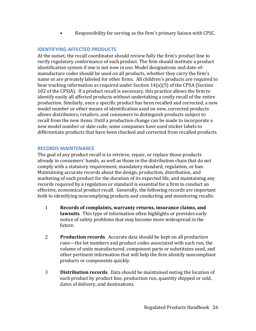• Responsibility for serving as the firm's primary liaison with CPSC.

## <span id="page-29-0"></span>**IDENTIFYING AFFECTED PRODUCTS**

At the outset, the recall coordinator should review fully the firm's product line to verify regulatory conformance of each product. The firm should institute a product identification system if one is not now in use. Model designations and date-ofmanufacture codes should be used on all products, whether they carry the firm's name or are privately labeled for other firms. All children's products are required to bear tracking information as required under Section 14(a)(5) of the CPSA (Section 102 of the CPSIA). If a product recall is necessary, this practice allows the firm to identify easily all affected products without undertaking a costly recall of the entire production. Similarly, once a specific product has been recalled and corrected, a new model number or other means of identification used on new, corrected products allows distributors, retailers, and consumers to distinguish products subject to recall from the new items. Until a production change can be made to incorporate a new model number or date code, some companies have used sticker labels to differentiate products that have been checked and corrected from recalled products.

#### <span id="page-29-1"></span>**RECORDS MAINTENANCE**

The goal of any product recall is to retrieve, repair, or replace those products already in consumers' hands, as well as those in the distribution chain that do not comply with a statutory requirement, mandatory standard, regulation, or ban. Maintaining accurate records about the design, production, distribution, and marketing of each product for the duration of its expected life, and maintaining any records required by a regulation or standard is essential for a firm to conduct an effective, economical product recall. Generally, the following records are important both to identifying noncomplying products and conducting and monitoring recalls:

- 1 **Records of complaints, warranty returns, insurance claims, and lawsuits**. This type of information often highlights or provides early notice of safety problems that may become more widespread in the future.
- 2 **Production records**. Accurate data should be kept on all production runs—the lot numbers and product codes associated with each run, the volume of units manufactured, component parts or substitutes used, and other pertinent information that will help the firm identify noncompliant products or components quickly.
- 3 **Distribution records**. Data should be maintained noting the location of each product by product line, production run, quantity shipped or sold, dates of delivery, and destinations.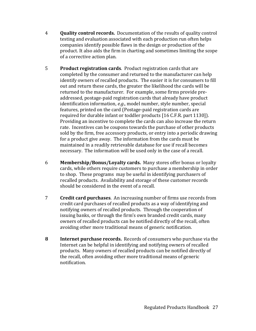- 4 **Quality control records.** Documentation of the results of quality control testing and evaluation associated with each production run often helps companies identify possible flaws in the design or production of the product. It also aids the firm in charting and sometimes limiting the scope of a corrective action plan.
- 5 **Product registration cards**. Product registration cards that are completed by the consumer and returned to the manufacturer can help identify owners of recalled products. The easier it is for consumers to fill out and return these cards, the greater the likelihood the cards will be returned to the manufacturer. For example, some firms provide preaddressed, postage-paid registration cards that already have product identification information, *e.g*., model number, style number, special features, printed on the card (Postage-paid registration cards are required for durable infant or toddler products [16 C.F.R. part 1130]). Providing an incentive to complete the cards can also increase the return rate. Incentives can be coupons towards the purchase of other products sold by the firm, free accessory products, or entry into a periodic drawing for a product give away. The information from the cards must be maintained in a readily retrievable database for use if recall becomes necessary. The information will be used only in the case of a recall.
- 6 **Membership/Bonus/Loyalty cards.** Many stores offer bonus or loyalty cards, while others require customers to purchase a membership in order to shop. These programs may be useful in identifying purchasers of recalled products. Availability and storage of these customer records should be considered in the event of a recall.
- 7 **Credit card purchases**. An increasing number of firms use records from credit card purchases of recalled products as a way of identifying and notifying owners of recalled products. Through the cooperation of issuing banks, or through the firm's own branded credit cards, many owners of recalled products can be notified directly of the recall, often avoiding other more traditional means of generic notification.
- **8 Internet purchase records.** Records of consumers who purchase via the Internet can be helpful in identifying and notifying owners of recalled products. Many owners of recalled products can be notified directly of the recall, often avoiding other more traditional means of generic notification.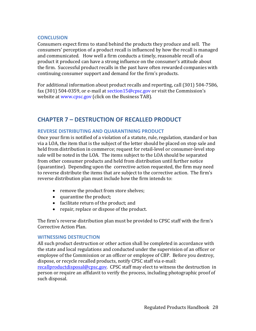#### <span id="page-31-0"></span>**CONCLUSION**

Consumers expect firms to stand behind the products they produce and sell. The consumers' perception of a product recall is influenced by how the recall is managed and communicated. How well a firm conducts a timely, reasonable recall of a product it produced can have a strong influence on the consumer's attitude about the firm. Successful product recalls in the past have often rewarded companies with continuing consumer support and demand for the firm's products.

For additional information about product recalls and reporting, call (301) 504-7586, fax (301) 504-0359, or e-mail at section15@cpsc.gov or visit the Commission's website at www.cpsc.gov (click on the Business TAB).

# <span id="page-31-1"></span>**CHAPTER 7 – DESTRUCTION OF RECALLED PRODUCT**

#### <span id="page-31-2"></span>**REVERSE DISTRIBUTING AND QUARANTINING PRODUCT**

Once your firm is notified of a violation of a statute, rule, regulation, standard or ban via a LOA, the item that is the subject of the letter should be placed on stop sale and held from distribution in commerce; request for retail-level or consumer-level stop sale will be noted in the LOA. The items subject to the LOA should be separated from other consumer products and held from distribution until further notice (quarantine). Depending upon the corrective action requested, the firm may need to reverse distribute the items that are subject to the corrective action. The firm's reverse distribution plan must include how the firm intends to:

- remove the product from store shelves;
- quarantine the product;
- facilitate return of the product; and
- repair, replace or dispose of the product.

The firm's reverse distribution plan must be provided to CPSC staff with the firm's Corrective Action Plan.

#### <span id="page-31-3"></span>**WITNESSING DESTRUCTION**

All such product destruction or other action shall be completed in accordance with the state and local regulations and conducted under the supervision of an officer or employee of the Commission or an officer or employee of CBP. Before you destroy, dispose, or recycle recalled products, notify CPSC staff via e-mail:

[recallproductdisposal@cpsc.gov.](mailto:recallproductdisposal@cpsc.gov) CPSC staff may elect to witness the destruction in person or require an affidavit to verify the process, including photographic proof of such disposal.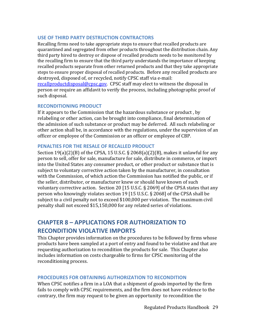#### <span id="page-32-0"></span>**USE OF THIRD PARTY DESTRUCTION CONTRACTORS**

Recalling firms need to take appropriate steps to ensure that recalled products are quarantined and segregated from other products throughout the distribution chain. Any third party hired to destroy or dispose of recalled products needs to be monitored by the recalling firm to ensure that the third party understands the importance of keeping recalled products separate from other returned products and that they take appropriate steps to ensure proper disposal of recalled products. Before any recalled products are destroyed, disposed of, or recycled, notify CPSC staff via e-mail: [recallproductdisposal@cpsc.gov.](mailto:recallproductdisposal@cpsc.gov) CPSC staff may elect to witness the disposal in person or require an affidavit to verify the process, including photographic proof of such disposal.

#### <span id="page-32-1"></span>**RECONDITIONING PRODUCT**

If it appears to the Commission that the hazardous substance or product , by relabeling or other action, can be brought into compliance, final determination of the admission of such substance or product may be deferred. All such relabeling or other action shall be, in accordance with the regulations, under the supervision of an officer or employee of the Commission or an officer or employee of CBP.

#### <span id="page-32-2"></span>**PENALTIES FOR THE RESALE OF RECALLED PRODUCT**

Section  $19(a)(2)(B)$  of the CPSA, 15 U.S.C. § 2068(a)(2)(B), makes it unlawful for any person to sell, offer for sale, manufacture for sale, distribute in commerce, or import into the United States any consumer product, or other product or substance that is subject to voluntary corrective action taken by the manufacturer, in consultation with the Commission, of which action the Commission has notified the public, or if the seller, distributor, or manufacturer knew or should have known of such voluntary corrective action. Section 20 [15 U.S.C. § 2069] of the CPSA states that any person who knowingly violates section 19 [15 U.S.C. § 2068] of the CPSA shall be subject to a civil penalty not to exceed \$100,000 per violation. The maximum civil penalty shall not exceed \$15,150,000 for any related series of violations.

# <span id="page-32-3"></span>**CHAPTER 8 – APPLICATIONS FOR AUTHORIZATION TO RECONDITION VIOLATIVE IMPORTS**

This Chapter provides information on the procedures to be followed by firms whose products have been sampled at a port of entry and found to be violative and that are requesting authorization to recondition the products for sale. This Chapter also includes information on costs chargeable to firms for CPSC monitoring of the reconditioning process.

## <span id="page-32-4"></span>**PROCEDURES FOR OBTAINING AUTHORIZATION TO RECONDITION**

When CPSC notifies a firm in a LOA that a shipment of goods imported by the firm fails to comply with CPSC requirements, and the firm does not have evidence to the contrary, the firm may request to be given an opportunity to recondition the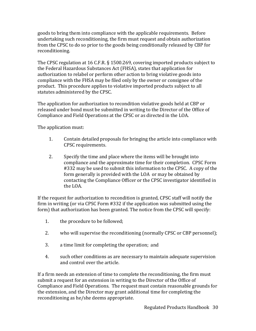goods to bring them into compliance with the applicable requirements. Before undertaking such reconditioning, the firm must request and obtain authorization from the CPSC to do so prior to the goods being conditionally released by CBP for reconditioning.

The CPSC regulation at 16 C.F.R. § 1500.269, covering imported products subject to the Federal Hazardous Substances Act (FHSA), states that application for authorization to relabel or perform other action to bring violative goods into compliance with the FHSA may be filed only by the owner or consignee of the product. This procedure applies to violative imported products subject to all statutes administered by the CPSC.

The application for authorization to recondition violative goods held at CBP or released under bond must be submitted in writing to the Director of the Office of Compliance and Field Operations at the CPSC or as directed in the LOA.

The application must:

- 1. Contain detailed proposals for bringing the article into compliance with CPSC requirements.
- 2. Specify the time and place where the items will be brought into compliance and the approximate time for their completion. CPSC Form #332 may be used to submit this information to the CPSC. A copy of the form generally is provided with the LOA or may be obtained by contacting the Compliance Officer or the CPSC investigator identified in the LOA.

If the request for authorization to recondition is granted, CPSC staff will notify the firm in writing (or via CPSC Form #332 if the application was submitted using the form) that authorization has been granted. The notice from the CPSC will specify:

- 1. the procedure to be followed;
- 2. who will supervise the reconditioning (normally CPSC or CBP personnel);
- 3. a time limit for completing the operation; and
- 4. such other conditions as are necessary to maintain adequate supervision and control over the article.

If a firm needs an extension of time to complete the reconditioning, the firm must submit a request for an extension in writing to the Director of the Office of Compliance and Field Operations. The request must contain reasonable grounds for the extension, and the Director may grant additional time for completing the reconditioning as he/she deems appropriate.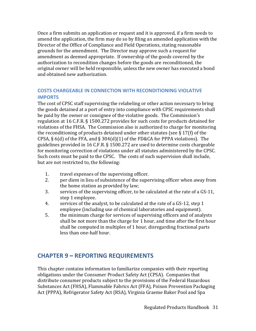Once a firm submits an application or request and it is approved, if a firm needs to amend the application, the firm may do so by filing an amended application with the Director of the Office of Compliance and Field Operations, stating reasonable grounds for the amendment. The Director may approve such a request for amendment as deemed appropriate. If ownership of the goods covered by the authorization to recondition changes before the goods are reconditioned, the original owner will be held responsible, unless the new owner has executed a bond and obtained new authorization.

## <span id="page-34-0"></span>**COSTS CHARGEABLE IN CONNECTION WITH RECONDITIONING VIOLATIVE IMPORTS**

The cost of CPSC staff supervising the relabeling or other action necessary to bring the goods detained at a port of entry into compliance with CPSC requirements shall be paid by the owner or consignee of the violative goods. The Commission's regulation at 16 C.F.R. § 1500.272 provides for such costs for products detained for violations of the FHSA. The Commission also is authorized to charge for monitoring the reconditioning of products detained under other statutes (see § 17(f) of the CPSA,  $\S$  6(d) of the FFA, and  $\S$  304(d)(1) of the FD&CA for PPPA violations). The guidelines provided in 16 C.F.R. § 1500.272 are used to determine costs chargeable for monitoring correction of violations under all statutes administered by the CPSC. Such costs must be paid to the CPSC. The costs of such supervision shall include, but are not restricted to, the following:

- 1. travel expenses of the supervising officer.<br>2. era diem in lieu of subsistence of the supe
- 2. per diem in lieu of subsistence of the supervising officer when away from the home station as provided by law;
- 3. services of the supervising officer, to be calculated at the rate of a GS-11, step 1 employee.
- 4. services of the analyst, to be calculated at the rate of a GS-12, step 1 employee (including use of chemical laboratories and equipment).
- 5. the minimum charge for services of supervising officers and of analysts shall be not more than the charge for 1 hour, and time after the first hour shall be computed in multiples of 1 hour, disregarding fractional parts less than one-half hour.

# <span id="page-34-1"></span>**CHAPTER 9 – REPORTING REQUIREMENTS**

This chapter contains information to familiarize companies with their reporting obligations under the Consumer Product Safety Act (CPSA). Companies that distribute consumer products subject to the provisions of the Federal Hazardous Substances Act (FHSA), Flammable Fabrics Act (FFA), Poison Prevention Packaging Act (PPPA), Refrigerator Safety Act (RSA), Virginia Graeme Baker Pool and Spa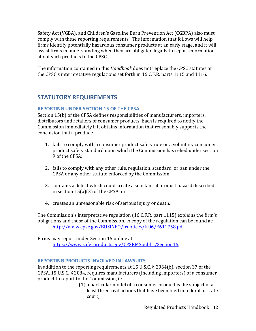Safety Act (VGBA), and Children's Gasoline Burn Prevention Act (CGBPA) also must comply with these reporting requirements. The information that follows will help firms identify potentially hazardous consumer products at an early stage, and it will assist firms in understanding when they are obligated legally to report information about such products to the CPSC.

The information contained in this *Handbook* does not replace the CPSC statutes or the CPSC's interpretative regulations set forth in 16 C.F.R. parts 1115 and 1116.

# <span id="page-35-0"></span>**STATUTORY REQUIREMENTS**

## <span id="page-35-1"></span>**REPORTING UNDER SECTION 15 OF THE CPSA**

Section 15(b) of the CPSA defines responsibilities of manufacturers, importers, distributors and retailers of consumer products. Each is required to notify the Commission immediately if it obtains information that reasonably supports the conclusion that a product:

- 1. fails to comply with a consumer product safety rule or a voluntary consumer product safety standard upon which the Commission has relied under section 9 of the CPSA;
- 2. fails to comply with any other rule, regulation, standard, or ban under the CPSA or any other statute enforced by the Commission;
- 3. contains a defect which could create a substantial product hazard described in section 15(a)(2) of the CPSA; or
- 4. creates an unreasonable risk of serious injury or death.

The Commission's interpretative regulation (16 C.F.R. part 1115) explains the firm's obligations and those of the Commission. A copy of the regulation can be found at: [http://www.cpsc.gov/BUSINFO/frnotices/fr06/E611758.pdf.](http://www.cpsc.gov/BUSINFO/frnotices/fr06/E611758.pdf)

Firms may report under Section 15 online at: [https://www.saferproducts.gov/CPSRMSpublic/Section15.](https://www.saferproducts.gov/CPSRMSpublic/Section15)

## <span id="page-35-2"></span>**REPORTING PRODUCTS INVOLVED IN LAWSUITS**

In addition to the reporting requirements at 15 U.S.C. § 2064(b), section 37 of the CPSA, 15 U.S.C. § 2084, requires manufacturers (including importers) of a consumer product to report to the Commission, if:

(1) a particular model of a consumer product is the subject of at least three civil actions that have been filed in federal or state court;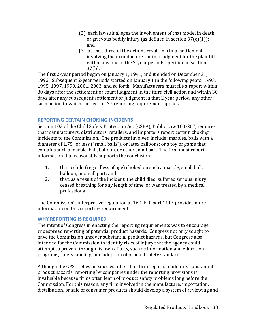- (2) each lawsuit alleges the involvement of that model in death or grievous bodily injury (as defined in section  $37(e)(1)$ ); and
- (3) at least three of the actions result in a final settlement involving the manufacturer or in a judgment for the plaintiff within any one of the 2-year periods specified in section 37(b).

The first 2-year period began on January 1, 1991, and it ended on December 31, 1992. Subsequent 2-year periods started on January 1 in the following years: 1993, 1995, 1997, 1999, 2001, 2003, and so forth. Manufacturers must file a report within 30 days after the settlement or court judgment in the third civil action and within 30 days after any subsequent settlement or judgment in that 2 year period, any other such action to which the section 37 reporting requirement applies.

## <span id="page-36-0"></span>**REPORTING CERTAIN CHOKING INCIDENTS**

Section 102 of the Child Safety Protection Act (CSPA), Public Law 103-267, requires that manufacturers, distributors, retailers, and importers report certain choking incidents to the Commission. The products involved include: marbles, balls with a diameter of 1.75" or less ("small balls"), or latex balloons; or a toy or game that contains such a marble, ball, balloon, or other small part. The firm must report information that reasonably supports the conclusion:

- 1. that a child (regardless of age) choked on such a marble, small ball, balloon, or small part; and
- 2. that, as a result of the incident, the child died, suffered serious injury, ceased breathing for any length of time, or was treated by a medical professional.

The Commission's interpretive regulation at 16 C.F.R. part 1117 provides more information on this reporting requirement.

## <span id="page-36-1"></span>**WHY REPORTING IS REQUIRED**

The intent of Congress in enacting the reporting requirements was to encourage widespread reporting of potential product hazards. Congress not only sought to have the Commission uncover substantial product hazards, but Congress also intended for the Commission to identify risks of injury that the agency could attempt to prevent through its own efforts, such as information and education programs, safety labeling, and adoption of product safety standards.

Although the CPSC relies on sources other than firm reports to identify substantial product hazards, reporting by companies under the reporting provisions is invaluable because firms often learn of product safety problems long before the Commission. For this reason, any firm involved in the manufacture, importation, distribution, or sale of consumer products should develop a system of reviewing and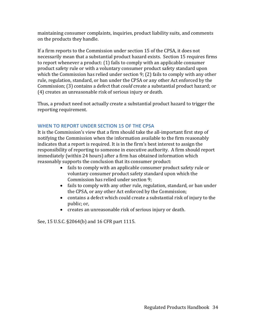maintaining consumer complaints, inquiries, product liability suits, and comments on the products they handle.

If a firm reports to the Commission under section 15 of the CPSA, it does not necessarily mean that a substantial product hazard exists. Section 15 requires firms to report whenever a product: (1) fails to comply with an applicable consumer product safety rule or with a voluntary consumer product safety standard upon which the Commission has relied under section 9; (2) fails to comply with any other rule, regulation, standard, or ban under the CPSA or any other Act enforced by the Commission; (3) contains a defect that *could* create a substantial product hazard; or (4) creates an unreasonable risk of serious injury or death.

Thus, a product need not actually create a substantial product hazard to trigger the reporting requirement.

## <span id="page-37-0"></span>**WHEN TO REPORT UNDER SECTION 15 OF THE CPSA**

It is the Commission's view that a firm should take the all-important first step of notifying the Commission when the information available to the firm reasonably indicates that a report is required. It is in the firm's best interest to assign the responsibility of reporting to someone in executive authority. A firm should report immediately (within 24 hours) after a firm has obtained information which reasonably supports the conclusion that its consumer product:

- fails to comply with an applicable consumer product safety rule or voluntary consumer product safety standard upon which the Commission has relied under section 9;
- fails to comply with any other rule, regulation, standard, or ban under the CPSA, or any other Act enforced by the Commission;
- contains a defect which could create a substantial risk of injury to the public; or,
- creates an unreasonable risk of serious injury or death.

See, 15 U.S.C. §2064(b) and 16 CFR part 1115.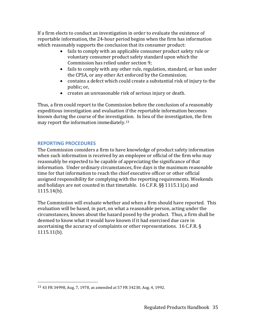If a firm elects to conduct an investigation in order to evaluate the existence of reportable information, the 24-hour period begins when the firm has information which reasonably supports the conclusion that its consumer product:

- fails to comply with an applicable consumer product safety rule or voluntary consumer product safety standard upon which the Commission has relied under section 9;
- fails to comply with any other rule, regulation, standard, or ban under the CPSA, or any other Act enforced by the Commission;
- contains a defect which could create a substantial risk of injury to the public; or,
- creates an unreasonable risk of serious injury or death.

Thus, a firm could report to the Commission before the conclusion of a reasonably expeditious investigation and evaluation if the reportable information becomes known during the course of the investigation. In lieu of the investigation, the firm may report the information immediately.[13](#page-38-1)

## <span id="page-38-0"></span>**REPORTING PROCEDURES**

The Commission considers a firm to have knowledge of product safety information when such information is received by an employee or official of the firm who may reasonably be expected to be capable of appreciating the significance of that information. Under ordinary circumstances, five days is the maximum reasonable time for that information to reach the chief executive officer or other official assigned responsibility for complying with the reporting requirements. Weekends and holidays are not counted in that timetable. 16 C.F.R. §§ 1115.11(a) and 1115.14(b).

The Commission will evaluate whether and when a firm should have reported. This evaluation will be based, in part, on what a reasonable person, acting under the circumstances, knows about the hazard posed by the product. Thus, a firm shall be deemed to know what it would have known if it had exercised due care in ascertaining the accuracy of complaints or other representations. 16 C.F.R. § 1115.11(b).

<span id="page-38-1"></span> <sup>13</sup> 43 FR 34998, Aug. 7, 1978, as amended at 57 FR 34230, Aug. 4, 1992.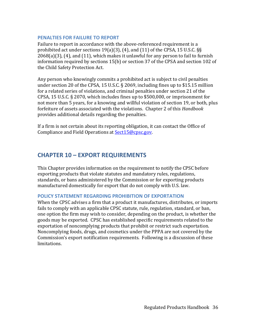#### <span id="page-39-0"></span>**PENALTIES FOR FAILURE TO REPORT**

Failure to report in accordance with the above-referenced requirement is a prohibited act under sections 19(a)(3), (4), and (11) of the CPSA, 15 U.S.C. §§ 2068(a)(3), (4), and (11), which makes it unlawful for any person to fail to furnish information required by sections 15(b) or section 37 of the CPSA and section 102 of the Child Safety Protection Act.

Any person who knowingly commits a prohibited act is subject to civil penalties under section 20 of the CPSA, 15 U.S.C. § 2069, including fines up to \$15.15 million for a related series of violations, and criminal penalties under section 21 of the CPSA, 15 U.S.C. § 2070, which includes fines up to \$500,000, or imprisonment for not more than 5 years, for a knowing and willful violation of section 19, or both, plus forfeiture of assets associated with the violations. Chapter 2 of this *Handbook* provides additional details regarding the penalties.

If a firm is not certain about its reporting obligation, it can contact the Office of Compliance and Field Operations at [Sect15@cpsc.gov.](mailto:Sect15@cpsc.gov)

# <span id="page-39-1"></span>**CHAPTER 10 – EXPORT REQUIREMENTS**

This Chapter provides information on the requirement to notify the CPSC before exporting products that violate statutes and mandatory rules, regulations, standards, or bans administered by the Commission or for exporting products manufactured domestically for export that do not comply with U.S. law.

#### <span id="page-39-2"></span>**POLICY STATEMENT REGARDING PROHIBITION OF EXPORTATION**

When the CPSC advises a firm that a product it manufactures, distributes, or imports fails to comply with an applicable CPSC statute, rule, regulation, standard, or ban, one option the firm may wish to consider, depending on the product, is whether the goods may be exported. CPSC has established specific requirements related to the exportation of noncomplying products that prohibit or restrict such exportation. Noncomplying foods, drugs, and cosmetics under the PPPA are not covered by the Commission's export notification requirements. Following is a discussion of these limitations.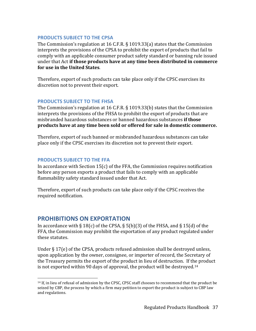#### <span id="page-40-0"></span>**PRODUCTS SUBJECT TO THE CPSA**

The Commission's regulation at 16 C.F.R. § 1019.33(a) states that the Commission interprets the provisions of the CPSA to prohibit the export of products that fail to comply with an applicable consumer product safety standard or banning rule issued under that Act **if those products have at any time been distributed in commerce for use in the United States**.

Therefore, export of such products can take place only if the CPSC exercises its discretion not to prevent their export.

#### <span id="page-40-1"></span>**PRODUCTS SUBJECT TO THE FHSA**

The Commission's regulation at 16 C.F.R. § 1019.33(b) states that the Commission interprets the provisions of the FHSA to prohibit the export of products that are misbranded hazardous substances or banned hazardous substances **if those products have at any time been sold or offered for sale in domestic commerce.** 

Therefore, export of such banned or misbranded hazardous substances can take place only if the CPSC exercises its discretion not to prevent their export.

## <span id="page-40-2"></span>**PRODUCTS SUBJECT TO THE FFA**

In accordance with Section 15(c) of the FFA, the Commission requires notification before any person exports a product that fails to comply with an applicable flammability safety standard issued under that Act.

Therefore, export of such products can take place only if the CPSC receives the required notification.

# <span id="page-40-3"></span>**PROHIBITIONS ON EXPORTATION**

In accordance with  $\S 18(c)$  of the CPSA,  $\S 5(b)(3)$  of the FHSA, and  $\S 15(d)$  of the FFA, the Commission may prohibit the exportation of any product regulated under these statutes.

Under § 17(e) of the CPSA, products refused admission shall be destroyed unless, upon application by the owner, consignee, or importer of record, the Secretary of the Treasury permits the export of the product in lieu of destruction. If the product is not exported within 90 days of approval, the product will be destroyed.[14](#page-40-4)

<span id="page-40-4"></span><sup>&</sup>lt;sup>14</sup> If, in lieu of refusal of admission by the CPSC, CPSC staff chooses to recommend that the product be seized by CBP, the process by which a firm may petition to export the product is subject to CBP law and regulations.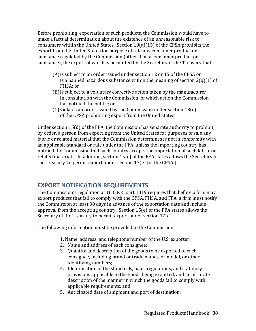Before prohibiting exportation of such products, the Commission would have to make a factual determination about the existence of an unreasonable risk to consumers within the United States. Section 19(a)(15) of the CPSA prohibits the export from the United States for purpose of sale any consumer product or substance regulated by the Commission (other than a consumer product or substance), the export of which is permitted by the Secretary of the Treasury that:

- (A)is subject to an order issued under section 12 or 15 of the CPSA or is a banned hazardous substance within the meaning of section  $2(q)(1)$  of FHSA; or
- (B)is subject to a voluntary corrective action taken by the manufacturer in consultation with the Commission, of which action the Commission has notified the public; or
- (C) violates an order issued by the Commission under section 18(c) of the CPSA prohibiting export from the United States.

Under section 15(d) of the FFA, the Commission has separate authority to prohibit, by order, a person from exporting from the United States for purposes of sale any fabric or related material that the Commission determines is not in conformity with an applicable standard or rule under the FFA, unless the importing country has notified the Commission that such country accepts the importation of such fabric or related material. In addition, section 15(e) of the FFA states allows the Secretary of the Treasury to permit export under section 17(e) [of the CPSA.]

# <span id="page-41-0"></span>**EXPORT NOTIFICATION REQUIREMENTS**

The Commission's regulation at 16 C.F.R. part 1019 requires that, before a firm may export products that fail to comply with the CPSA, FHSA, and FFA, a firm must notify the Commission at least 30 days in advance of the exportation date and include approval from the accepting country. Section 15(e) of the FFA states allows the Secretary of the Treasury to permit export under section 17(e).

The following information must be provided to the Commission:

- 1. Name, address, and telephone number of the U.S. exporter;
- 2. Name and address of each consignee;
- 3. Quantity and description of the goods to be exported to each consignee, including brand or trade names, or model, or other identifying numbers;
- 4. Identification of the standards, bans, regulations, and statutory provisions applicable to the goods being exported, and an accurate description of the manner in which the goods fail to comply with applicable requirements; and,
- 5. Anticipated date of shipment and port of destination.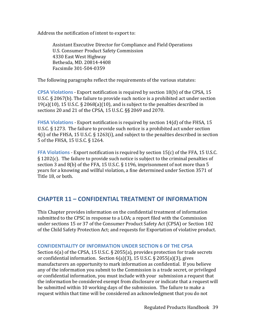Address the notification of intent to export to:

Assistant Executive Director for Compliance and Field Operations U.S. Consumer Product Safety Commission 4330 East West Highway Bethesda, MD. 20814-4408 Facsimile 301-504-0359

The following paragraphs reflect the requirements of the various statutes:

<span id="page-42-0"></span>**CPSA Violations** - Export notification is required by section 18(b) of the CPSA, 15 U.S.C. § 2067(b). The failure to provide such notice is a prohibited act under section 19(a)(10), 15 U.S.C. § 2068(a)(10), and is subject to the penalties described in sections 20 and 21 of the CPSA, 15 U.S.C. §§ 2069 and 2070.

<span id="page-42-1"></span>**FHSA Violations** - Export notification is required by section 14(d) of the FHSA, 15 U.S.C. § 1273. The failure to provide such notice is a prohibited act under section 4(i) of the FHSA, 15 U.S.C. § 1263(i), and subject to the penalties described in section 5 of the FHSA, 15 U.S.C. § 1264.

<span id="page-42-2"></span>**FFA Violations** - Export notification is required by section 15(c) of the FFA, 15 U.S.C. § 1202(c). The failure to provide such notice is subject to the criminal penalties of section 3 and 8(b) of the FFA, 15 U.S.C. § 1196, imprisonment of not more than 5 years for a knowing and willful violation, a fine determined under Section 3571 of Title 18, or both.

# <span id="page-42-3"></span>**CHAPTER 11 – CONFIDENTIAL TREATMENT OF INFORMATION**

This Chapter provides information on the confidential treatment of information submitted to the CPSC in response to a LOA; a report filed with the Commission under sections 15 or 37 of the Consumer Product Safety Act (CPSA) or Section 102 of the Child Safety Protection Act; and requests for Exportation of violative product.

## <span id="page-42-4"></span>**CONFIDENTIALITY OF INFORMATION UNDER SECTION 6 OF THE CPSA**

Section 6(a) of the CPSA, 15 U.S.C. § 2055(a), provides protection for trade secrets or confidential information. Section 6(a)(3), 15 U.S.C. § 2055(a)(3), gives manufacturers an opportunity to mark information as confidential. If you believe any of the information you submit to the Commission is a trade secret, or privileged or confidential information, you must include with your submission a request that the information be considered exempt from disclosure or indicate that a request will be submitted within 10 working days of the submission. The failure to make a request within that time will be considered an acknowledgment that you do not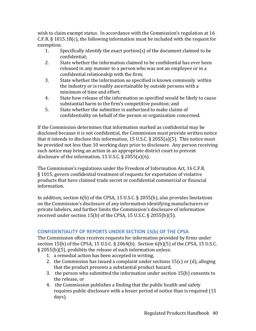wish to claim exempt status. In accordance with the Commission's regulation at 16 C.F.R. § 1015.18(c), the following information must be included with the request for exemption:<br>1. S

- Specifically identify the exact portion(s) of the document claimed to be confidential;
- 2. State whether the information claimed to be confidential has ever been released in any manner to a person who was not an employee or in a confidential relationship with the firm;
- 3. State whether the information so specified is known commonly within the industry or is readily ascertainable by outside persons with a minimum of time and effort;
- 4. State how release of the information so specified would be likely to cause substantial harm to the firm's competitive position; and
- 5. State whether the submitter is authorized to make claims of confidentiality on behalf of the person or organization concerned.

If the Commission determines that information marked as confidential may be disclosed because it is not confidential, the Commission must provide written notice that it intends to disclose this information, 15 U.S.C. § 2055(a)(5). This notice must be provided not less than 10 working days prior to disclosure. Any person receiving such notice may bring an action in an appropriate district court to prevent disclosure of the information, 15 U.S.C. § 2055(a)(6).

The Commission's regulations under the Freedom of Information Act, 16 C.F.R. § 1015, govern confidential treatment of requests for exportation of violative products that have claimed trade secret or confidential commercial or financial information.

In addition, section 6(b) of the CPSA, 15 U.S.C. § 2055(b), also provides limitations on the Commission's disclosure of any information identifying manufacturers or private labelers, and further limits the Commission's disclosure of information received under section 15(b) of the CPSA, 15 U.S.C. § 2055(b)(5).

## <span id="page-43-0"></span>**CONFIDENTIALITY OF REPORTS UNDER SECTION 15(b) OF THE CPSA**

The Commission often receives requests for information provided by firms under section 15(b) of the CPSA, 15 U.S.C. § 2064(b). Section 6(b)(5) of the CPSA, 15 U.S.C. § 2055(b)(5), prohibits the release of such information unless:

- 1. a remedial action has been accepted in writing,
- 2. the Commission has issued a complaint under sections  $15(c)$  or (d), alleging that the product presents a substantial product hazard,
- 3. the person who submitted the information under section 15(b) consents to the release, or
- 4. the Commission publishes a finding that the public health and safety requires public disclosure with a lesser period of notice than is required (15 days).